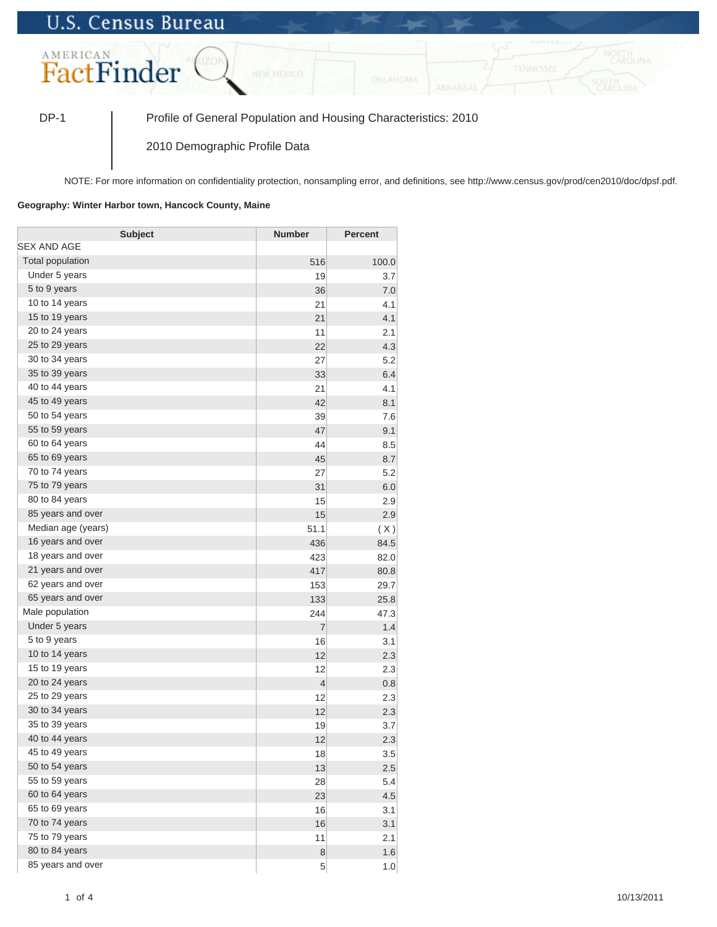## **U.S. Census Bureau**



DP-1 Profile of General Population and Housing Characteristics: 2010

2010 Demographic Profile Data

NOTE: For more information on confidentiality protection, nonsampling error, and definitions, see http://www.census.gov/prod/cen2010/doc/dpsf.pdf.

## **Geography: Winter Harbor town, Hancock County, Maine**

| <b>Subject</b>     | <b>Number</b>  | <b>Percent</b> |
|--------------------|----------------|----------------|
| SEX AND AGE        |                |                |
| Total population   | 516            | 100.0          |
| Under 5 years      | 19             | 3.7            |
| 5 to 9 years       | 36             | 7.0            |
| 10 to 14 years     | 21             | 4.1            |
| 15 to 19 years     | 21             | 4.1            |
| 20 to 24 years     | 11             | 2.1            |
| 25 to 29 years     | 22             | 4.3            |
| 30 to 34 years     | 27             | 5.2            |
| 35 to 39 years     | 33             | 6.4            |
| 40 to 44 years     | 21             | 4.1            |
| 45 to 49 years     | 42             | 8.1            |
| 50 to 54 years     | 39             | 7.6            |
| 55 to 59 years     | 47             | 9.1            |
| 60 to 64 years     | 44             | 8.5            |
| 65 to 69 years     | 45             | 8.7            |
| 70 to 74 years     | 27             | 5.2            |
| 75 to 79 years     | 31             | 6.0            |
| 80 to 84 years     | 15             | 2.9            |
| 85 years and over  | 15             | 2.9            |
| Median age (years) | 51.1           | (X)            |
| 16 years and over  | 436            | 84.5           |
| 18 years and over  | 423            | 82.0           |
| 21 years and over  | 417            | 80.8           |
| 62 years and over  | 153            | 29.7           |
| 65 years and over  | 133            | 25.8           |
| Male population    | 244            | 47.3           |
| Under 5 years      | $\overline{7}$ | 1.4            |
| 5 to 9 years       | 16             | 3.1            |
| 10 to 14 years     | 12             | 2.3            |
| 15 to 19 years     | 12             | 2.3            |
| 20 to 24 years     | $\overline{4}$ | 0.8            |
| 25 to 29 years     | 12             | 2.3            |
| 30 to 34 years     | 12             | 2.3            |
| 35 to 39 years     | 19             | 3.7            |
| 40 to 44 years     | 12             | 2.3            |
| 45 to 49 years     | 18             | 3.5            |
| 50 to 54 years     | 13             | 2.5            |
| 55 to 59 years     | 28             | 5.4            |
| 60 to 64 years     | 23             | 4.5            |
| 65 to 69 years     | 16             | 3.1            |
| 70 to 74 years     | 16             | 3.1            |
| 75 to 79 years     | 11             | 2.1            |
| 80 to 84 years     | 8              | 1.6            |
| 85 years and over  | 5              | 1.0            |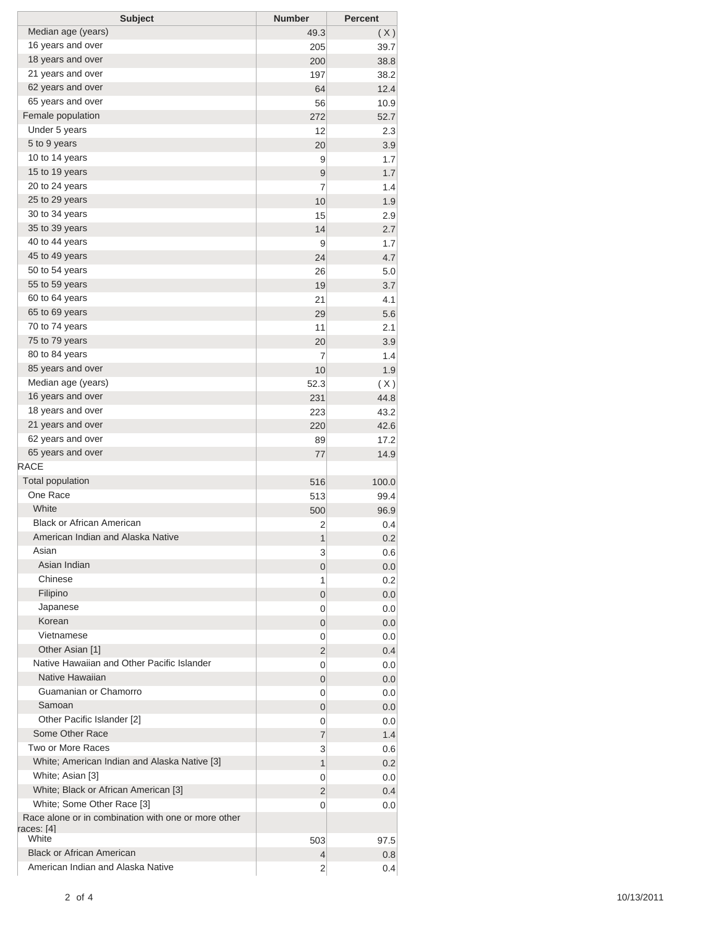| Median age (years)<br>49.3<br>(X)<br>16 years and over<br>205<br>39.7<br>18 years and over<br>200<br>38.8<br>21 years and over<br>197<br>38.2<br>62 years and over<br>64<br>12.4<br>65 years and over<br>56<br>10.9<br>Female population<br>272<br>52.7<br>Under 5 years<br>12<br>2.3<br>5 to 9 years<br>20<br>3.9<br>10 to 14 years<br>9<br>1.7<br>15 to 19 years<br>9<br>1.7<br>20 to 24 years<br>7<br>1.4<br>25 to 29 years<br>10<br>1.9<br>30 to 34 years<br>15<br>2.9<br>35 to 39 years<br>14<br>2.7<br>40 to 44 years<br>9<br>1.7<br>45 to 49 years<br>24<br>4.7<br>50 to 54 years<br>26<br>5.0<br>55 to 59 years<br>19<br>3.7<br>60 to 64 years<br>21<br>4.1<br>65 to 69 years<br>29<br>70 to 74 years<br>11<br>2.1<br>75 to 79 years<br>3.9<br>20<br>80 to 84 years<br>1.4<br>7<br>85 years and over<br>10<br>1.9<br>Median age (years)<br>52.3<br>(X)<br>16 years and over<br>231<br>44.8<br>18 years and over<br>223<br>43.2<br>21 years and over<br>220<br>42.6<br>62 years and over<br>17.2<br>89<br>65 years and over<br>77<br>14.9<br><b>Total population</b><br>516<br>100.0<br>One Race<br>513<br>99.4<br>White<br>500<br>96.9<br><b>Black or African American</b><br>2<br>0.4<br>American Indian and Alaska Native<br>1<br>0.2<br>Asian<br>3<br>Asian Indian<br>0<br>Chinese<br>1<br>Filipino<br>0<br>Japanese<br>0<br>Korean<br>0<br>Vietnamese<br>0<br>Other Asian [1]<br>2<br>Native Hawaiian and Other Pacific Islander<br>0<br>Native Hawaiian<br>0<br>Guamanian or Chamorro<br>0<br>Samoan<br>0<br>Other Pacific Islander [2]<br>0<br>Some Other Race<br>7<br>Two or More Races<br>3<br>White; American Indian and Alaska Native [3]<br>1<br>White; Asian [3]<br>0<br>White; Black or African American [3]<br>2<br>White; Some Other Race [3]<br>0<br>0.0<br>Race alone or in combination with one or more other<br>races: [4] | <b>RACE</b>                       |     | 5.6  |
|-------------------------------------------------------------------------------------------------------------------------------------------------------------------------------------------------------------------------------------------------------------------------------------------------------------------------------------------------------------------------------------------------------------------------------------------------------------------------------------------------------------------------------------------------------------------------------------------------------------------------------------------------------------------------------------------------------------------------------------------------------------------------------------------------------------------------------------------------------------------------------------------------------------------------------------------------------------------------------------------------------------------------------------------------------------------------------------------------------------------------------------------------------------------------------------------------------------------------------------------------------------------------------------------------------------------------------------------------------------------------------------------------------------------------------------------------------------------------------------------------------------------------------------------------------------------------------------------------------------------------------------------------------------------------------------------------------------------------------------------------------------------------------------------------------------------------------------------------------|-----------------------------------|-----|------|
|                                                                                                                                                                                                                                                                                                                                                                                                                                                                                                                                                                                                                                                                                                                                                                                                                                                                                                                                                                                                                                                                                                                                                                                                                                                                                                                                                                                                                                                                                                                                                                                                                                                                                                                                                                                                                                                       |                                   |     |      |
|                                                                                                                                                                                                                                                                                                                                                                                                                                                                                                                                                                                                                                                                                                                                                                                                                                                                                                                                                                                                                                                                                                                                                                                                                                                                                                                                                                                                                                                                                                                                                                                                                                                                                                                                                                                                                                                       |                                   |     |      |
|                                                                                                                                                                                                                                                                                                                                                                                                                                                                                                                                                                                                                                                                                                                                                                                                                                                                                                                                                                                                                                                                                                                                                                                                                                                                                                                                                                                                                                                                                                                                                                                                                                                                                                                                                                                                                                                       |                                   |     |      |
|                                                                                                                                                                                                                                                                                                                                                                                                                                                                                                                                                                                                                                                                                                                                                                                                                                                                                                                                                                                                                                                                                                                                                                                                                                                                                                                                                                                                                                                                                                                                                                                                                                                                                                                                                                                                                                                       |                                   |     |      |
|                                                                                                                                                                                                                                                                                                                                                                                                                                                                                                                                                                                                                                                                                                                                                                                                                                                                                                                                                                                                                                                                                                                                                                                                                                                                                                                                                                                                                                                                                                                                                                                                                                                                                                                                                                                                                                                       |                                   |     |      |
|                                                                                                                                                                                                                                                                                                                                                                                                                                                                                                                                                                                                                                                                                                                                                                                                                                                                                                                                                                                                                                                                                                                                                                                                                                                                                                                                                                                                                                                                                                                                                                                                                                                                                                                                                                                                                                                       |                                   |     |      |
|                                                                                                                                                                                                                                                                                                                                                                                                                                                                                                                                                                                                                                                                                                                                                                                                                                                                                                                                                                                                                                                                                                                                                                                                                                                                                                                                                                                                                                                                                                                                                                                                                                                                                                                                                                                                                                                       |                                   |     |      |
|                                                                                                                                                                                                                                                                                                                                                                                                                                                                                                                                                                                                                                                                                                                                                                                                                                                                                                                                                                                                                                                                                                                                                                                                                                                                                                                                                                                                                                                                                                                                                                                                                                                                                                                                                                                                                                                       |                                   |     |      |
|                                                                                                                                                                                                                                                                                                                                                                                                                                                                                                                                                                                                                                                                                                                                                                                                                                                                                                                                                                                                                                                                                                                                                                                                                                                                                                                                                                                                                                                                                                                                                                                                                                                                                                                                                                                                                                                       |                                   |     |      |
|                                                                                                                                                                                                                                                                                                                                                                                                                                                                                                                                                                                                                                                                                                                                                                                                                                                                                                                                                                                                                                                                                                                                                                                                                                                                                                                                                                                                                                                                                                                                                                                                                                                                                                                                                                                                                                                       |                                   |     |      |
|                                                                                                                                                                                                                                                                                                                                                                                                                                                                                                                                                                                                                                                                                                                                                                                                                                                                                                                                                                                                                                                                                                                                                                                                                                                                                                                                                                                                                                                                                                                                                                                                                                                                                                                                                                                                                                                       |                                   |     |      |
|                                                                                                                                                                                                                                                                                                                                                                                                                                                                                                                                                                                                                                                                                                                                                                                                                                                                                                                                                                                                                                                                                                                                                                                                                                                                                                                                                                                                                                                                                                                                                                                                                                                                                                                                                                                                                                                       |                                   |     |      |
|                                                                                                                                                                                                                                                                                                                                                                                                                                                                                                                                                                                                                                                                                                                                                                                                                                                                                                                                                                                                                                                                                                                                                                                                                                                                                                                                                                                                                                                                                                                                                                                                                                                                                                                                                                                                                                                       |                                   |     |      |
|                                                                                                                                                                                                                                                                                                                                                                                                                                                                                                                                                                                                                                                                                                                                                                                                                                                                                                                                                                                                                                                                                                                                                                                                                                                                                                                                                                                                                                                                                                                                                                                                                                                                                                                                                                                                                                                       |                                   |     |      |
|                                                                                                                                                                                                                                                                                                                                                                                                                                                                                                                                                                                                                                                                                                                                                                                                                                                                                                                                                                                                                                                                                                                                                                                                                                                                                                                                                                                                                                                                                                                                                                                                                                                                                                                                                                                                                                                       |                                   |     |      |
|                                                                                                                                                                                                                                                                                                                                                                                                                                                                                                                                                                                                                                                                                                                                                                                                                                                                                                                                                                                                                                                                                                                                                                                                                                                                                                                                                                                                                                                                                                                                                                                                                                                                                                                                                                                                                                                       |                                   |     |      |
|                                                                                                                                                                                                                                                                                                                                                                                                                                                                                                                                                                                                                                                                                                                                                                                                                                                                                                                                                                                                                                                                                                                                                                                                                                                                                                                                                                                                                                                                                                                                                                                                                                                                                                                                                                                                                                                       |                                   |     |      |
|                                                                                                                                                                                                                                                                                                                                                                                                                                                                                                                                                                                                                                                                                                                                                                                                                                                                                                                                                                                                                                                                                                                                                                                                                                                                                                                                                                                                                                                                                                                                                                                                                                                                                                                                                                                                                                                       |                                   |     |      |
|                                                                                                                                                                                                                                                                                                                                                                                                                                                                                                                                                                                                                                                                                                                                                                                                                                                                                                                                                                                                                                                                                                                                                                                                                                                                                                                                                                                                                                                                                                                                                                                                                                                                                                                                                                                                                                                       |                                   |     |      |
|                                                                                                                                                                                                                                                                                                                                                                                                                                                                                                                                                                                                                                                                                                                                                                                                                                                                                                                                                                                                                                                                                                                                                                                                                                                                                                                                                                                                                                                                                                                                                                                                                                                                                                                                                                                                                                                       |                                   |     |      |
|                                                                                                                                                                                                                                                                                                                                                                                                                                                                                                                                                                                                                                                                                                                                                                                                                                                                                                                                                                                                                                                                                                                                                                                                                                                                                                                                                                                                                                                                                                                                                                                                                                                                                                                                                                                                                                                       |                                   |     |      |
|                                                                                                                                                                                                                                                                                                                                                                                                                                                                                                                                                                                                                                                                                                                                                                                                                                                                                                                                                                                                                                                                                                                                                                                                                                                                                                                                                                                                                                                                                                                                                                                                                                                                                                                                                                                                                                                       |                                   |     |      |
|                                                                                                                                                                                                                                                                                                                                                                                                                                                                                                                                                                                                                                                                                                                                                                                                                                                                                                                                                                                                                                                                                                                                                                                                                                                                                                                                                                                                                                                                                                                                                                                                                                                                                                                                                                                                                                                       |                                   |     |      |
|                                                                                                                                                                                                                                                                                                                                                                                                                                                                                                                                                                                                                                                                                                                                                                                                                                                                                                                                                                                                                                                                                                                                                                                                                                                                                                                                                                                                                                                                                                                                                                                                                                                                                                                                                                                                                                                       |                                   |     |      |
|                                                                                                                                                                                                                                                                                                                                                                                                                                                                                                                                                                                                                                                                                                                                                                                                                                                                                                                                                                                                                                                                                                                                                                                                                                                                                                                                                                                                                                                                                                                                                                                                                                                                                                                                                                                                                                                       |                                   |     |      |
|                                                                                                                                                                                                                                                                                                                                                                                                                                                                                                                                                                                                                                                                                                                                                                                                                                                                                                                                                                                                                                                                                                                                                                                                                                                                                                                                                                                                                                                                                                                                                                                                                                                                                                                                                                                                                                                       |                                   |     |      |
|                                                                                                                                                                                                                                                                                                                                                                                                                                                                                                                                                                                                                                                                                                                                                                                                                                                                                                                                                                                                                                                                                                                                                                                                                                                                                                                                                                                                                                                                                                                                                                                                                                                                                                                                                                                                                                                       |                                   |     |      |
|                                                                                                                                                                                                                                                                                                                                                                                                                                                                                                                                                                                                                                                                                                                                                                                                                                                                                                                                                                                                                                                                                                                                                                                                                                                                                                                                                                                                                                                                                                                                                                                                                                                                                                                                                                                                                                                       |                                   |     |      |
|                                                                                                                                                                                                                                                                                                                                                                                                                                                                                                                                                                                                                                                                                                                                                                                                                                                                                                                                                                                                                                                                                                                                                                                                                                                                                                                                                                                                                                                                                                                                                                                                                                                                                                                                                                                                                                                       |                                   |     |      |
|                                                                                                                                                                                                                                                                                                                                                                                                                                                                                                                                                                                                                                                                                                                                                                                                                                                                                                                                                                                                                                                                                                                                                                                                                                                                                                                                                                                                                                                                                                                                                                                                                                                                                                                                                                                                                                                       |                                   |     |      |
|                                                                                                                                                                                                                                                                                                                                                                                                                                                                                                                                                                                                                                                                                                                                                                                                                                                                                                                                                                                                                                                                                                                                                                                                                                                                                                                                                                                                                                                                                                                                                                                                                                                                                                                                                                                                                                                       |                                   |     |      |
|                                                                                                                                                                                                                                                                                                                                                                                                                                                                                                                                                                                                                                                                                                                                                                                                                                                                                                                                                                                                                                                                                                                                                                                                                                                                                                                                                                                                                                                                                                                                                                                                                                                                                                                                                                                                                                                       |                                   |     |      |
|                                                                                                                                                                                                                                                                                                                                                                                                                                                                                                                                                                                                                                                                                                                                                                                                                                                                                                                                                                                                                                                                                                                                                                                                                                                                                                                                                                                                                                                                                                                                                                                                                                                                                                                                                                                                                                                       |                                   |     |      |
|                                                                                                                                                                                                                                                                                                                                                                                                                                                                                                                                                                                                                                                                                                                                                                                                                                                                                                                                                                                                                                                                                                                                                                                                                                                                                                                                                                                                                                                                                                                                                                                                                                                                                                                                                                                                                                                       |                                   |     |      |
|                                                                                                                                                                                                                                                                                                                                                                                                                                                                                                                                                                                                                                                                                                                                                                                                                                                                                                                                                                                                                                                                                                                                                                                                                                                                                                                                                                                                                                                                                                                                                                                                                                                                                                                                                                                                                                                       |                                   |     |      |
|                                                                                                                                                                                                                                                                                                                                                                                                                                                                                                                                                                                                                                                                                                                                                                                                                                                                                                                                                                                                                                                                                                                                                                                                                                                                                                                                                                                                                                                                                                                                                                                                                                                                                                                                                                                                                                                       |                                   |     |      |
|                                                                                                                                                                                                                                                                                                                                                                                                                                                                                                                                                                                                                                                                                                                                                                                                                                                                                                                                                                                                                                                                                                                                                                                                                                                                                                                                                                                                                                                                                                                                                                                                                                                                                                                                                                                                                                                       |                                   |     | 0.6  |
|                                                                                                                                                                                                                                                                                                                                                                                                                                                                                                                                                                                                                                                                                                                                                                                                                                                                                                                                                                                                                                                                                                                                                                                                                                                                                                                                                                                                                                                                                                                                                                                                                                                                                                                                                                                                                                                       |                                   |     | 0.0  |
|                                                                                                                                                                                                                                                                                                                                                                                                                                                                                                                                                                                                                                                                                                                                                                                                                                                                                                                                                                                                                                                                                                                                                                                                                                                                                                                                                                                                                                                                                                                                                                                                                                                                                                                                                                                                                                                       |                                   |     | 0.2  |
|                                                                                                                                                                                                                                                                                                                                                                                                                                                                                                                                                                                                                                                                                                                                                                                                                                                                                                                                                                                                                                                                                                                                                                                                                                                                                                                                                                                                                                                                                                                                                                                                                                                                                                                                                                                                                                                       |                                   |     | 0.0  |
|                                                                                                                                                                                                                                                                                                                                                                                                                                                                                                                                                                                                                                                                                                                                                                                                                                                                                                                                                                                                                                                                                                                                                                                                                                                                                                                                                                                                                                                                                                                                                                                                                                                                                                                                                                                                                                                       |                                   |     | 0.0  |
|                                                                                                                                                                                                                                                                                                                                                                                                                                                                                                                                                                                                                                                                                                                                                                                                                                                                                                                                                                                                                                                                                                                                                                                                                                                                                                                                                                                                                                                                                                                                                                                                                                                                                                                                                                                                                                                       |                                   |     | 0.0  |
|                                                                                                                                                                                                                                                                                                                                                                                                                                                                                                                                                                                                                                                                                                                                                                                                                                                                                                                                                                                                                                                                                                                                                                                                                                                                                                                                                                                                                                                                                                                                                                                                                                                                                                                                                                                                                                                       |                                   |     | 0.0  |
|                                                                                                                                                                                                                                                                                                                                                                                                                                                                                                                                                                                                                                                                                                                                                                                                                                                                                                                                                                                                                                                                                                                                                                                                                                                                                                                                                                                                                                                                                                                                                                                                                                                                                                                                                                                                                                                       |                                   |     | 0.4  |
|                                                                                                                                                                                                                                                                                                                                                                                                                                                                                                                                                                                                                                                                                                                                                                                                                                                                                                                                                                                                                                                                                                                                                                                                                                                                                                                                                                                                                                                                                                                                                                                                                                                                                                                                                                                                                                                       |                                   |     | 0.0  |
|                                                                                                                                                                                                                                                                                                                                                                                                                                                                                                                                                                                                                                                                                                                                                                                                                                                                                                                                                                                                                                                                                                                                                                                                                                                                                                                                                                                                                                                                                                                                                                                                                                                                                                                                                                                                                                                       |                                   |     | 0.0  |
|                                                                                                                                                                                                                                                                                                                                                                                                                                                                                                                                                                                                                                                                                                                                                                                                                                                                                                                                                                                                                                                                                                                                                                                                                                                                                                                                                                                                                                                                                                                                                                                                                                                                                                                                                                                                                                                       |                                   |     | 0.0  |
|                                                                                                                                                                                                                                                                                                                                                                                                                                                                                                                                                                                                                                                                                                                                                                                                                                                                                                                                                                                                                                                                                                                                                                                                                                                                                                                                                                                                                                                                                                                                                                                                                                                                                                                                                                                                                                                       |                                   |     | 0.0  |
|                                                                                                                                                                                                                                                                                                                                                                                                                                                                                                                                                                                                                                                                                                                                                                                                                                                                                                                                                                                                                                                                                                                                                                                                                                                                                                                                                                                                                                                                                                                                                                                                                                                                                                                                                                                                                                                       |                                   |     | 0.0  |
|                                                                                                                                                                                                                                                                                                                                                                                                                                                                                                                                                                                                                                                                                                                                                                                                                                                                                                                                                                                                                                                                                                                                                                                                                                                                                                                                                                                                                                                                                                                                                                                                                                                                                                                                                                                                                                                       |                                   |     | 1.4  |
|                                                                                                                                                                                                                                                                                                                                                                                                                                                                                                                                                                                                                                                                                                                                                                                                                                                                                                                                                                                                                                                                                                                                                                                                                                                                                                                                                                                                                                                                                                                                                                                                                                                                                                                                                                                                                                                       |                                   |     | 0.6  |
|                                                                                                                                                                                                                                                                                                                                                                                                                                                                                                                                                                                                                                                                                                                                                                                                                                                                                                                                                                                                                                                                                                                                                                                                                                                                                                                                                                                                                                                                                                                                                                                                                                                                                                                                                                                                                                                       |                                   |     | 0.2  |
|                                                                                                                                                                                                                                                                                                                                                                                                                                                                                                                                                                                                                                                                                                                                                                                                                                                                                                                                                                                                                                                                                                                                                                                                                                                                                                                                                                                                                                                                                                                                                                                                                                                                                                                                                                                                                                                       |                                   |     | 0.0  |
|                                                                                                                                                                                                                                                                                                                                                                                                                                                                                                                                                                                                                                                                                                                                                                                                                                                                                                                                                                                                                                                                                                                                                                                                                                                                                                                                                                                                                                                                                                                                                                                                                                                                                                                                                                                                                                                       |                                   |     | 0.4  |
|                                                                                                                                                                                                                                                                                                                                                                                                                                                                                                                                                                                                                                                                                                                                                                                                                                                                                                                                                                                                                                                                                                                                                                                                                                                                                                                                                                                                                                                                                                                                                                                                                                                                                                                                                                                                                                                       |                                   |     |      |
|                                                                                                                                                                                                                                                                                                                                                                                                                                                                                                                                                                                                                                                                                                                                                                                                                                                                                                                                                                                                                                                                                                                                                                                                                                                                                                                                                                                                                                                                                                                                                                                                                                                                                                                                                                                                                                                       | White                             | 503 | 97.5 |
| <b>Black or African American</b><br>4                                                                                                                                                                                                                                                                                                                                                                                                                                                                                                                                                                                                                                                                                                                                                                                                                                                                                                                                                                                                                                                                                                                                                                                                                                                                                                                                                                                                                                                                                                                                                                                                                                                                                                                                                                                                                 |                                   |     | 0.8  |
| $\overline{2}$<br>0.4                                                                                                                                                                                                                                                                                                                                                                                                                                                                                                                                                                                                                                                                                                                                                                                                                                                                                                                                                                                                                                                                                                                                                                                                                                                                                                                                                                                                                                                                                                                                                                                                                                                                                                                                                                                                                                 | American Indian and Alaska Native |     |      |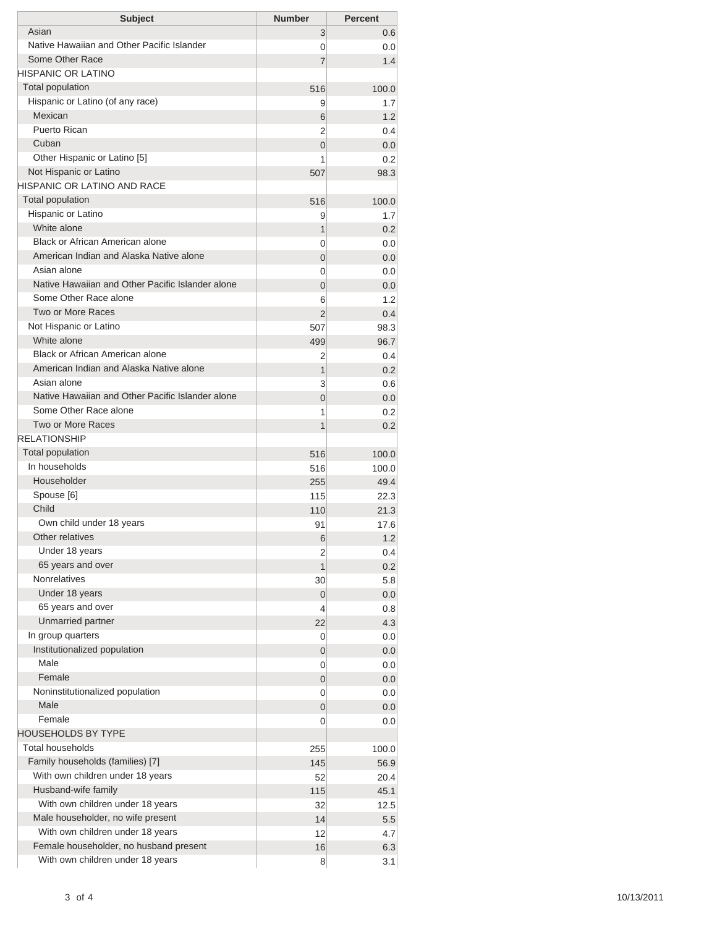| <b>Subject</b>                                   | <b>Number</b>  | <b>Percent</b> |
|--------------------------------------------------|----------------|----------------|
| Asian                                            | 3              | 0.6            |
| Native Hawaiian and Other Pacific Islander       | 0              | 0.0            |
| Some Other Race                                  | 7              | 1.4            |
| HISPANIC OR LATINO                               |                |                |
| <b>Total population</b>                          | 516            | 100.0          |
| Hispanic or Latino (of any race)                 | 9              | 1.7            |
| Mexican                                          | 6              | 1.2            |
| Puerto Rican                                     | 2              | 0.4            |
| Cuban                                            | $\overline{0}$ | 0.0            |
| Other Hispanic or Latino [5]                     | 1              | 0.2            |
| Not Hispanic or Latino                           | 507            | 98.3           |
| <b>HISPANIC OR LATINO AND RACE</b>               |                |                |
| <b>Total population</b>                          | 516            | 100.0          |
| Hispanic or Latino                               | 9              | 1.7            |
| White alone                                      | 1              | 0.2            |
| Black or African American alone                  | 0              | 0.0            |
| American Indian and Alaska Native alone          | $\overline{0}$ | 0.0            |
| Asian alone                                      | 0              | 0.0            |
| Native Hawaiian and Other Pacific Islander alone | $\overline{0}$ | 0.0            |
| Some Other Race alone                            | 6              | 1.2            |
| Two or More Races                                | $\overline{2}$ | 0.4            |
| Not Hispanic or Latino                           | 507            | 98.3           |
| White alone<br>Black or African American alone   | 499            | 96.7           |
| American Indian and Alaska Native alone          | 2              | 0.4            |
| Asian alone                                      | 1              | 0.2            |
| Native Hawaiian and Other Pacific Islander alone | 3              | 0.6            |
| Some Other Race alone                            | $\overline{0}$ | 0.0            |
| Two or More Races                                | 1              | 0.2            |
| <b>RELATIONSHIP</b>                              | 1              | 0.2            |
| Total population                                 |                |                |
| In households                                    | 516            | 100.0<br>100.0 |
| Householder                                      | 516            | 49.4           |
| Spouse [6]                                       | 255<br>115     | 22.3           |
| Child                                            | 110            | 21.3           |
| Own child under 18 years                         | 91             | 17.6           |
| Other relatives                                  | 6              | 1.2            |
| Under 18 years                                   | 2              | 0.4            |
| 65 years and over                                | 1              | 0.2            |
| <b>Nonrelatives</b>                              | 30             | 5.8            |
| Under 18 years                                   | 0              | 0.0            |
| 65 years and over                                | 4              | 0.8            |
| Unmarried partner                                | 22             | 4.3            |
| In group quarters                                | 0              | 0.0            |
| Institutionalized population                     | 0              | 0.0            |
| Male                                             | 0              | 0.0            |
| Female                                           | 0              | 0.0            |
| Noninstitutionalized population                  | 0              | 0.0            |
| Male                                             | 0              | 0.0            |
| Female                                           | 0              | 0.0            |
| <b>HOUSEHOLDS BY TYPE</b>                        |                |                |
| <b>Total households</b>                          | 255            | 100.0          |
| Family households (families) [7]                 | 145            | 56.9           |
| With own children under 18 years                 | 52             | 20.4           |
| Husband-wife family                              | 115            | 45.1           |
| With own children under 18 years                 | 32             | 12.5           |
| Male householder, no wife present                | 14             | 5.5            |
| With own children under 18 years                 | 12             | 4.7            |
| Female householder, no husband present           | 16             | 6.3            |
| With own children under 18 years                 | 8              | 3.1            |